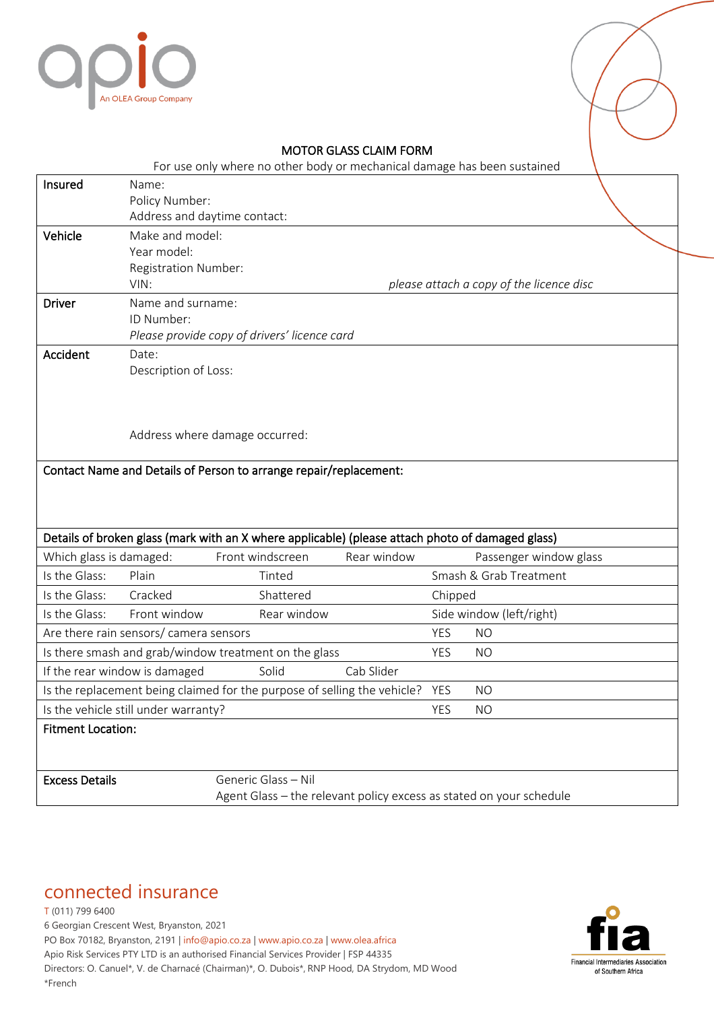

## MOTOR GLASS CLAIM FORM

|                                                       |                                 | For use only where no other body or mechanical damage has been sustained                         |             |                                          |                                                                     |
|-------------------------------------------------------|---------------------------------|--------------------------------------------------------------------------------------------------|-------------|------------------------------------------|---------------------------------------------------------------------|
| Insured                                               | Name:                           |                                                                                                  |             |                                          |                                                                     |
|                                                       | Policy Number:                  |                                                                                                  |             |                                          |                                                                     |
|                                                       |                                 | Address and daytime contact:                                                                     |             |                                          |                                                                     |
| Vehicle<br><b>Driver</b>                              | Make and model:                 |                                                                                                  |             |                                          |                                                                     |
|                                                       | Year model:                     |                                                                                                  |             |                                          |                                                                     |
|                                                       | Registration Number:            |                                                                                                  |             | please attach a copy of the licence disc |                                                                     |
|                                                       | VIN:                            |                                                                                                  |             |                                          |                                                                     |
|                                                       | Name and surname:<br>ID Number: |                                                                                                  |             |                                          |                                                                     |
|                                                       |                                 | Please provide copy of drivers' licence card                                                     |             |                                          |                                                                     |
| Accident                                              |                                 |                                                                                                  |             |                                          |                                                                     |
|                                                       | Date:<br>Description of Loss:   |                                                                                                  |             |                                          |                                                                     |
|                                                       |                                 |                                                                                                  |             |                                          |                                                                     |
|                                                       |                                 |                                                                                                  |             |                                          |                                                                     |
|                                                       |                                 |                                                                                                  |             |                                          |                                                                     |
|                                                       | Address where damage occurred:  |                                                                                                  |             |                                          |                                                                     |
|                                                       |                                 |                                                                                                  |             |                                          |                                                                     |
|                                                       |                                 |                                                                                                  |             |                                          |                                                                     |
|                                                       |                                 | Details of broken glass (mark with an X where applicable) (please attach photo of damaged glass) |             |                                          |                                                                     |
| Which glass is damaged:                               |                                 | Front windscreen                                                                                 | Rear window |                                          | Passenger window glass                                              |
| Is the Glass:                                         | Plain                           | Tinted                                                                                           |             |                                          | Smash & Grab Treatment                                              |
| Is the Glass:                                         | Cracked                         | Shattered                                                                                        |             | Chipped                                  |                                                                     |
| Is the Glass:                                         | Front window                    | Rear window                                                                                      |             |                                          | Side window (left/right)                                            |
| Are there rain sensors/ camera sensors                |                                 |                                                                                                  | <b>YES</b>  | <b>NO</b>                                |                                                                     |
| Is there smash and grab/window treatment on the glass |                                 |                                                                                                  |             | <b>YES</b>                               | <b>NO</b>                                                           |
|                                                       | If the rear window is damaged   | Solid                                                                                            | Cab Slider  |                                          |                                                                     |
|                                                       |                                 | Is the replacement being claimed for the purpose of selling the vehicle? YES                     |             |                                          | NO.                                                                 |
| Is the vehicle still under warranty?                  |                                 |                                                                                                  |             | <b>YES</b>                               | NO                                                                  |
| <b>Fitment Location:</b>                              |                                 |                                                                                                  |             |                                          |                                                                     |
|                                                       |                                 |                                                                                                  |             |                                          |                                                                     |
|                                                       |                                 |                                                                                                  |             |                                          |                                                                     |
| <b>Excess Details</b>                                 |                                 | Generic Glass - Nil                                                                              |             |                                          |                                                                     |
|                                                       |                                 |                                                                                                  |             |                                          | Agent Glass - the relevant policy excess as stated on your schedule |

## connected insurance

T (011) 799 6400 6 Georgian Crescent West, Bryanston, 2021 PO Box 70182, Bryanston, 2191 | info@apio.co.za | [www.apio.co.za](http://www.apio.co.za/) | www.olea.africa Apio Risk Services PTY LTD is an authorised Financial Services Provider | FSP 44335 Directors: O. Canuel\*, V. de Charnacé (Chairman)\*, O. Dubois\*, RNP Hood, DA Strydom, MD Wood \*French